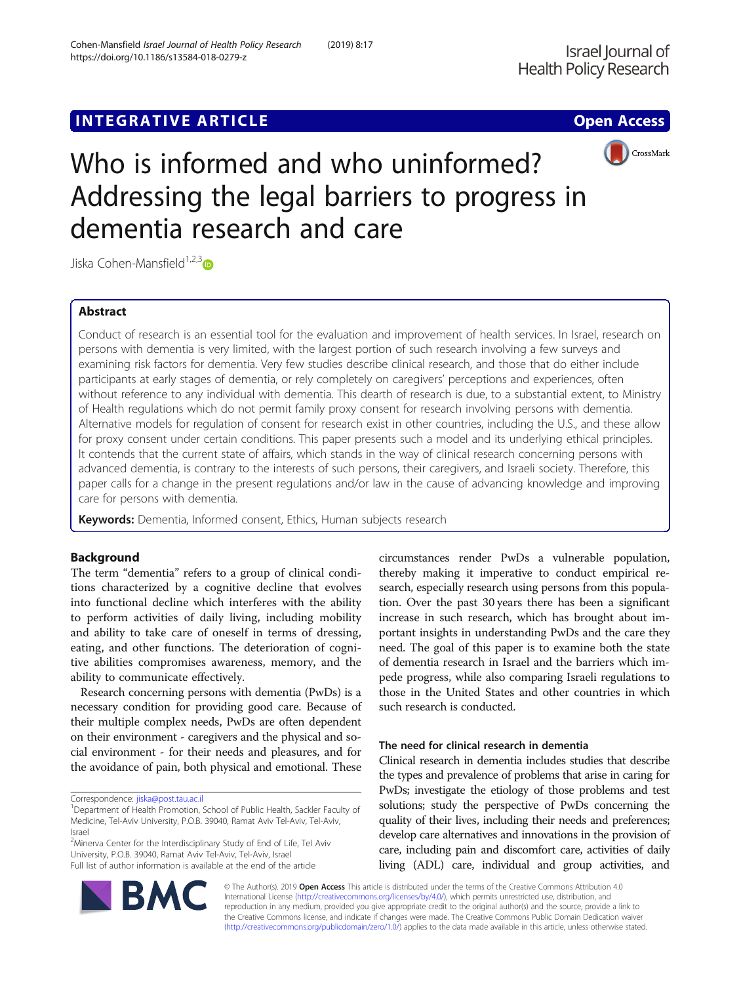## **INTEGRATIVE ARTICLE Example 2018 10 Access Open Access**



# Who is informed and who uninformed? Addressing the legal barriers to progress in dementia research and care

Jiska Cohen-Mansfield $1,2,3$ 

## Abstract

Conduct of research is an essential tool for the evaluation and improvement of health services. In Israel, research on persons with dementia is very limited, with the largest portion of such research involving a few surveys and examining risk factors for dementia. Very few studies describe clinical research, and those that do either include participants at early stages of dementia, or rely completely on caregivers' perceptions and experiences, often without reference to any individual with dementia. This dearth of research is due, to a substantial extent, to Ministry of Health regulations which do not permit family proxy consent for research involving persons with dementia. Alternative models for regulation of consent for research exist in other countries, including the U.S., and these allow for proxy consent under certain conditions. This paper presents such a model and its underlying ethical principles. It contends that the current state of affairs, which stands in the way of clinical research concerning persons with advanced dementia, is contrary to the interests of such persons, their caregivers, and Israeli society. Therefore, this paper calls for a change in the present regulations and/or law in the cause of advancing knowledge and improving care for persons with dementia.

Keywords: Dementia, Informed consent, Ethics, Human subjects research

## Background

The term "dementia" refers to a group of clinical conditions characterized by a cognitive decline that evolves into functional decline which interferes with the ability to perform activities of daily living, including mobility and ability to take care of oneself in terms of dressing, eating, and other functions. The deterioration of cognitive abilities compromises awareness, memory, and the ability to communicate effectively.

Research concerning persons with dementia (PwDs) is a necessary condition for providing good care. Because of their multiple complex needs, PwDs are often dependent on their environment - caregivers and the physical and social environment - for their needs and pleasures, and for the avoidance of pain, both physical and emotional. These

Correspondence: [jiska@post.tau.ac.il](mailto:jiska@post.tau.ac.il) <sup>1</sup>

<sup>2</sup>Minerva Center for the Interdisciplinary Study of End of Life, Tel Aviv University, P.O.B. 39040, Ramat Aviv Tel-Aviv, Tel-Aviv, Israel Full list of author information is available at the end of the article



## The need for clinical research in dementia

Clinical research in dementia includes studies that describe the types and prevalence of problems that arise in caring for PwDs; investigate the etiology of those problems and test solutions; study the perspective of PwDs concerning the quality of their lives, including their needs and preferences; develop care alternatives and innovations in the provision of care, including pain and discomfort care, activities of daily living (ADL) care, individual and group activities, and



© The Author(s). 2019 Open Access This article is distributed under the terms of the Creative Commons Attribution 4.0 International License [\(http://creativecommons.org/licenses/by/4.0/](http://creativecommons.org/licenses/by/4.0/)), which permits unrestricted use, distribution, and reproduction in any medium, provided you give appropriate credit to the original author(s) and the source, provide a link to the Creative Commons license, and indicate if changes were made. The Creative Commons Public Domain Dedication waiver [\(http://creativecommons.org/publicdomain/zero/1.0/](http://creativecommons.org/publicdomain/zero/1.0/)) applies to the data made available in this article, unless otherwise stated.

<sup>&</sup>lt;sup>1</sup>Department of Health Promotion, School of Public Health, Sackler Faculty of Medicine, Tel-Aviv University, P.O.B. 39040, Ramat Aviv Tel-Aviv, Tel-Aviv, Israel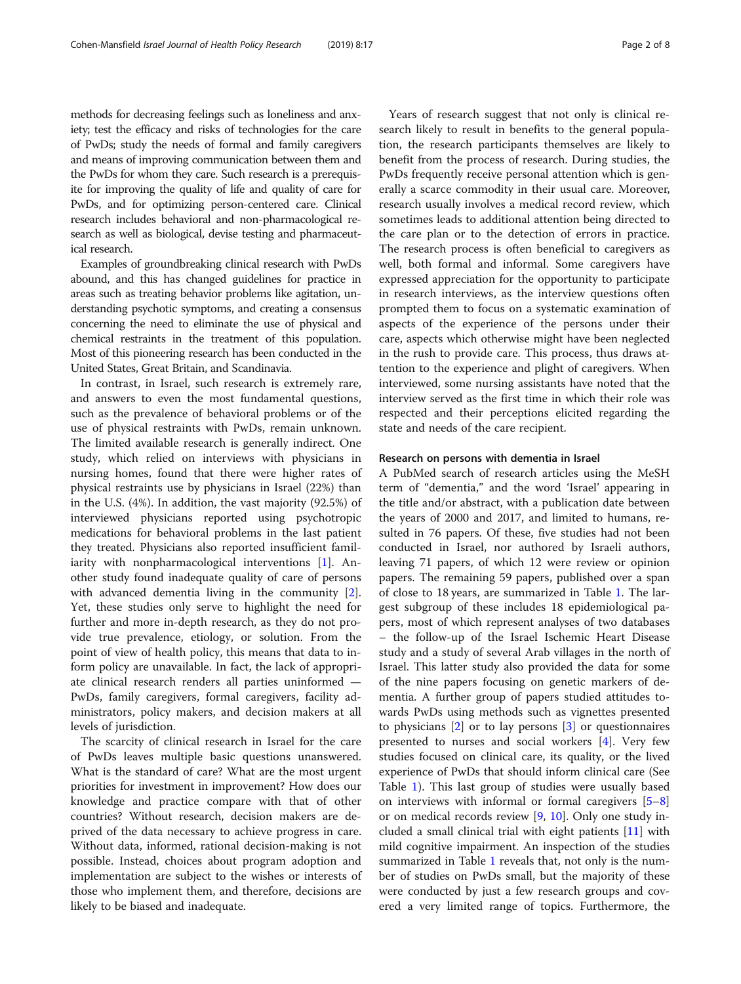methods for decreasing feelings such as loneliness and anxiety; test the efficacy and risks of technologies for the care of PwDs; study the needs of formal and family caregivers and means of improving communication between them and the PwDs for whom they care. Such research is a prerequisite for improving the quality of life and quality of care for PwDs, and for optimizing person-centered care. Clinical research includes behavioral and non-pharmacological research as well as biological, devise testing and pharmaceutical research.

Examples of groundbreaking clinical research with PwDs abound, and this has changed guidelines for practice in areas such as treating behavior problems like agitation, understanding psychotic symptoms, and creating a consensus concerning the need to eliminate the use of physical and chemical restraints in the treatment of this population. Most of this pioneering research has been conducted in the United States, Great Britain, and Scandinavia.

In contrast, in Israel, such research is extremely rare, and answers to even the most fundamental questions, such as the prevalence of behavioral problems or of the use of physical restraints with PwDs, remain unknown. The limited available research is generally indirect. One study, which relied on interviews with physicians in nursing homes, found that there were higher rates of physical restraints use by physicians in Israel (22%) than in the U.S. (4%). In addition, the vast majority (92.5%) of interviewed physicians reported using psychotropic medications for behavioral problems in the last patient they treated. Physicians also reported insufficient familiarity with nonpharmacological interventions [[1](#page-6-0)]. Another study found inadequate quality of care of persons with advanced dementia living in the community [\[2](#page-6-0)]. Yet, these studies only serve to highlight the need for further and more in-depth research, as they do not provide true prevalence, etiology, or solution. From the point of view of health policy, this means that data to inform policy are unavailable. In fact, the lack of appropriate clinical research renders all parties uninformed — PwDs, family caregivers, formal caregivers, facility administrators, policy makers, and decision makers at all levels of jurisdiction.

The scarcity of clinical research in Israel for the care of PwDs leaves multiple basic questions unanswered. What is the standard of care? What are the most urgent priorities for investment in improvement? How does our knowledge and practice compare with that of other countries? Without research, decision makers are deprived of the data necessary to achieve progress in care. Without data, informed, rational decision-making is not possible. Instead, choices about program adoption and implementation are subject to the wishes or interests of those who implement them, and therefore, decisions are likely to be biased and inadequate.

Years of research suggest that not only is clinical research likely to result in benefits to the general population, the research participants themselves are likely to benefit from the process of research. During studies, the PwDs frequently receive personal attention which is generally a scarce commodity in their usual care. Moreover, research usually involves a medical record review, which sometimes leads to additional attention being directed to the care plan or to the detection of errors in practice. The research process is often beneficial to caregivers as well, both formal and informal. Some caregivers have expressed appreciation for the opportunity to participate in research interviews, as the interview questions often prompted them to focus on a systematic examination of aspects of the experience of the persons under their care, aspects which otherwise might have been neglected in the rush to provide care. This process, thus draws attention to the experience and plight of caregivers. When interviewed, some nursing assistants have noted that the interview served as the first time in which their role was respected and their perceptions elicited regarding the state and needs of the care recipient.

#### Research on persons with dementia in Israel

A PubMed search of research articles using the MeSH term of "dementia," and the word 'Israel' appearing in the title and/or abstract, with a publication date between the years of 2000 and 2017, and limited to humans, resulted in 76 papers. Of these, five studies had not been conducted in Israel, nor authored by Israeli authors, leaving 71 papers, of which 12 were review or opinion papers. The remaining 59 papers, published over a span of close to 18 years, are summarized in Table [1.](#page-2-0) The largest subgroup of these includes 18 epidemiological papers, most of which represent analyses of two databases – the follow-up of the Israel Ischemic Heart Disease study and a study of several Arab villages in the north of Israel. This latter study also provided the data for some of the nine papers focusing on genetic markers of dementia. A further group of papers studied attitudes towards PwDs using methods such as vignettes presented to physicians  $[2]$  $[2]$  or to lay persons  $[3]$  $[3]$  or questionnaires presented to nurses and social workers [\[4](#page-6-0)]. Very few studies focused on clinical care, its quality, or the lived experience of PwDs that should inform clinical care (See Table [1](#page-2-0)). This last group of studies were usually based on interviews with informal or formal caregivers [[5](#page-6-0)–[8](#page-6-0)] or on medical records review [[9,](#page-6-0) [10\]](#page-6-0). Only one study included a small clinical trial with eight patients [\[11](#page-6-0)] with mild cognitive impairment. An inspection of the studies summarized in Table [1](#page-2-0) reveals that, not only is the number of studies on PwDs small, but the majority of these were conducted by just a few research groups and covered a very limited range of topics. Furthermore, the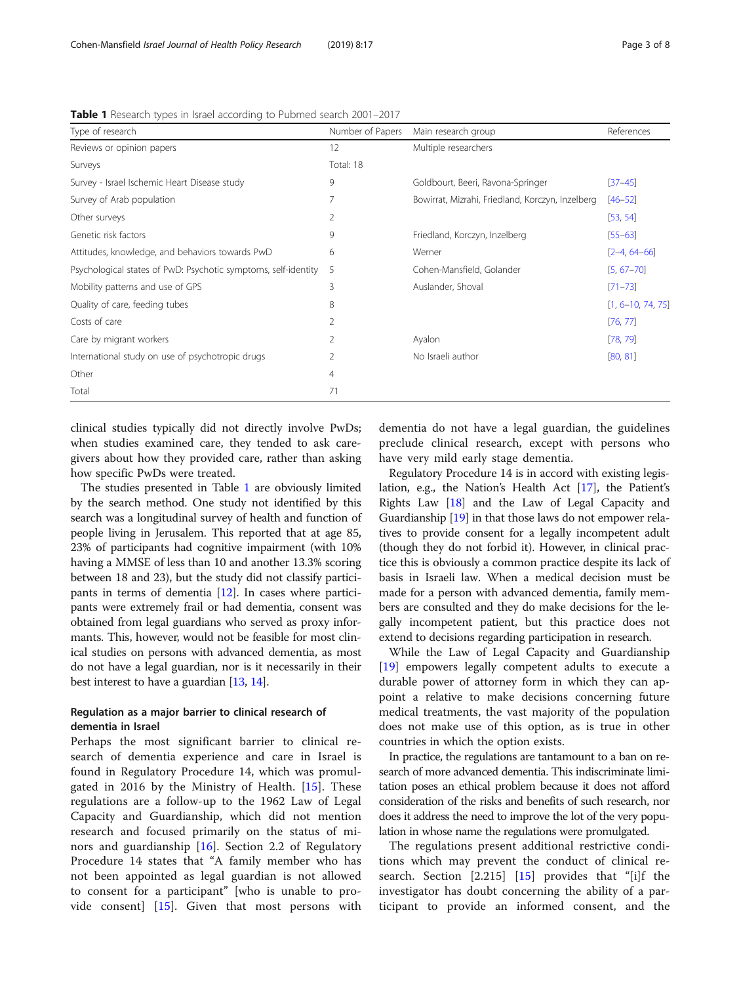| Type of research                                               | Number of Papers | Main research group                              | References            |
|----------------------------------------------------------------|------------------|--------------------------------------------------|-----------------------|
| Reviews or opinion papers                                      | 12               | Multiple researchers                             |                       |
| Surveys                                                        | Total: 18        |                                                  |                       |
| Survey - Israel Ischemic Heart Disease study                   | 9                | Goldbourt, Beeri, Ravona-Springer                | $[37 - 45]$           |
| Survey of Arab population                                      |                  | Bowirrat, Mizrahi, Friedland, Korczyn, Inzelberg | $[46 - 52]$           |
| Other surveys                                                  | 2                |                                                  | [53, 54]              |
| Genetic risk factors                                           | 9                | Friedland, Korczyn, Inzelberg                    | $[55 - 63]$           |
| Attitudes, knowledge, and behaviors towards PwD                | 6                | Werner                                           | $[2-4, 64-66]$        |
| Psychological states of PwD: Psychotic symptoms, self-identity | 5                | Cohen-Mansfield, Golander                        | $[5, 67 - 70]$        |
| Mobility patterns and use of GPS                               | 3                | Auslander, Shoval                                | $[71 - 73]$           |
| Quality of care, feeding tubes                                 | 8                |                                                  | $[1, 6 - 10, 74, 75]$ |
| Costs of care                                                  | 2                |                                                  | [76, 77]              |
| Care by migrant workers                                        | 2                | Ayalon                                           | [78, 79]              |
| International study on use of psychotropic drugs               | 2                | No Israeli author                                | [80, 81]              |
| Other                                                          | 4                |                                                  |                       |
| Total                                                          | 71               |                                                  |                       |

<span id="page-2-0"></span>Table 1 Research types in Israel according to Pubmed search 2001-2017

clinical studies typically did not directly involve PwDs; when studies examined care, they tended to ask caregivers about how they provided care, rather than asking how specific PwDs were treated.

The studies presented in Table 1 are obviously limited by the search method. One study not identified by this search was a longitudinal survey of health and function of people living in Jerusalem. This reported that at age 85, 23% of participants had cognitive impairment (with 10% having a MMSE of less than 10 and another 13.3% scoring between 18 and 23), but the study did not classify participants in terms of dementia [\[12\]](#page-6-0). In cases where participants were extremely frail or had dementia, consent was obtained from legal guardians who served as proxy informants. This, however, would not be feasible for most clinical studies on persons with advanced dementia, as most do not have a legal guardian, nor is it necessarily in their best interest to have a guardian [\[13,](#page-6-0) [14](#page-6-0)].

## Regulation as a major barrier to clinical research of dementia in Israel

Perhaps the most significant barrier to clinical research of dementia experience and care in Israel is found in Regulatory Procedure 14, which was promulgated in 2016 by the Ministry of Health. [[15\]](#page-6-0). These regulations are a follow-up to the 1962 Law of Legal Capacity and Guardianship, which did not mention research and focused primarily on the status of minors and guardianship [[16\]](#page-6-0). Section 2.2 of Regulatory Procedure 14 states that "A family member who has not been appointed as legal guardian is not allowed to consent for a participant" [who is unable to provide consent] [\[15](#page-6-0)]. Given that most persons with

dementia do not have a legal guardian, the guidelines preclude clinical research, except with persons who have very mild early stage dementia.

Regulatory Procedure 14 is in accord with existing legislation, e.g., the Nation's Health Act [\[17\]](#page-6-0), the Patient's Rights Law [[18](#page-6-0)] and the Law of Legal Capacity and Guardianship [\[19](#page-6-0)] in that those laws do not empower relatives to provide consent for a legally incompetent adult (though they do not forbid it). However, in clinical practice this is obviously a common practice despite its lack of basis in Israeli law. When a medical decision must be made for a person with advanced dementia, family members are consulted and they do make decisions for the legally incompetent patient, but this practice does not extend to decisions regarding participation in research.

While the Law of Legal Capacity and Guardianship [[19\]](#page-6-0) empowers legally competent adults to execute a durable power of attorney form in which they can appoint a relative to make decisions concerning future medical treatments, the vast majority of the population does not make use of this option, as is true in other countries in which the option exists.

In practice, the regulations are tantamount to a ban on research of more advanced dementia. This indiscriminate limitation poses an ethical problem because it does not afford consideration of the risks and benefits of such research, nor does it address the need to improve the lot of the very population in whose name the regulations were promulgated.

The regulations present additional restrictive conditions which may prevent the conduct of clinical research. Section [2.215] [\[15](#page-6-0)] provides that "[i]f the investigator has doubt concerning the ability of a participant to provide an informed consent, and the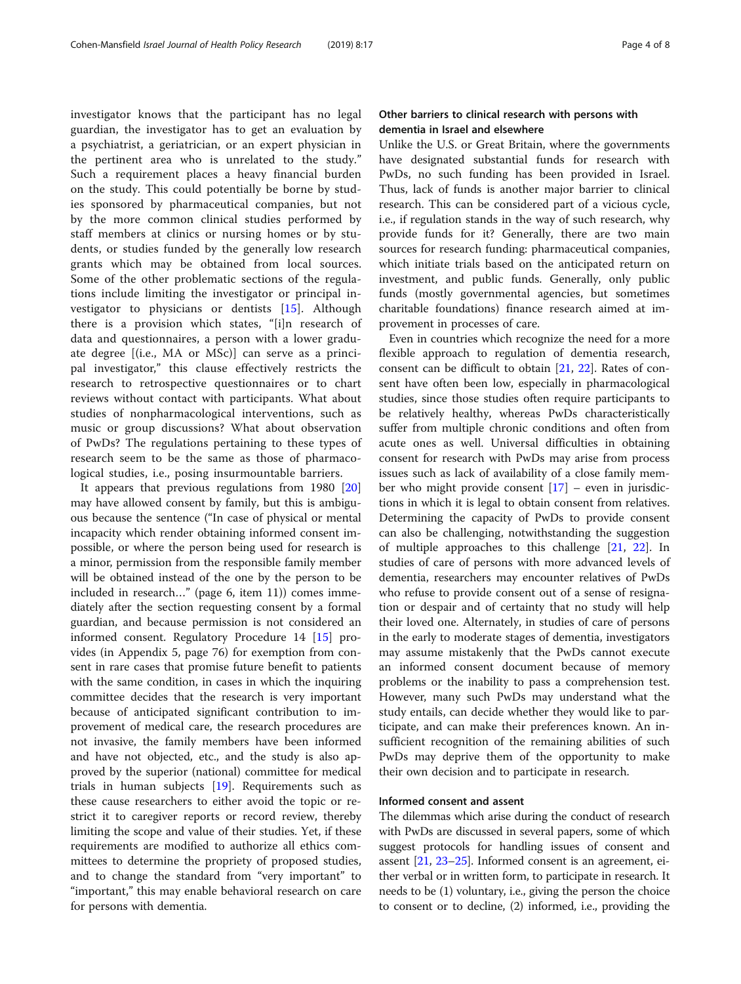investigator knows that the participant has no legal guardian, the investigator has to get an evaluation by a psychiatrist, a geriatrician, or an expert physician in the pertinent area who is unrelated to the study." Such a requirement places a heavy financial burden on the study. This could potentially be borne by studies sponsored by pharmaceutical companies, but not by the more common clinical studies performed by staff members at clinics or nursing homes or by students, or studies funded by the generally low research grants which may be obtained from local sources. Some of the other problematic sections of the regulations include limiting the investigator or principal investigator to physicians or dentists [[15\]](#page-6-0). Although there is a provision which states, "[i]n research of data and questionnaires, a person with a lower graduate degree [(i.e., MA or MSc)] can serve as a principal investigator," this clause effectively restricts the research to retrospective questionnaires or to chart reviews without contact with participants. What about studies of nonpharmacological interventions, such as music or group discussions? What about observation of PwDs? The regulations pertaining to these types of research seem to be the same as those of pharmacological studies, i.e., posing insurmountable barriers.

It appears that previous regulations from 1980 [[20](#page-6-0)] may have allowed consent by family, but this is ambiguous because the sentence ("In case of physical or mental incapacity which render obtaining informed consent impossible, or where the person being used for research is a minor, permission from the responsible family member will be obtained instead of the one by the person to be included in research…" (page 6, item 11)) comes immediately after the section requesting consent by a formal guardian, and because permission is not considered an informed consent. Regulatory Procedure 14 [\[15](#page-6-0)] provides (in Appendix 5, page 76) for exemption from consent in rare cases that promise future benefit to patients with the same condition, in cases in which the inquiring committee decides that the research is very important because of anticipated significant contribution to improvement of medical care, the research procedures are not invasive, the family members have been informed and have not objected, etc., and the study is also approved by the superior (national) committee for medical trials in human subjects [\[19](#page-6-0)]. Requirements such as these cause researchers to either avoid the topic or restrict it to caregiver reports or record review, thereby limiting the scope and value of their studies. Yet, if these requirements are modified to authorize all ethics committees to determine the propriety of proposed studies, and to change the standard from "very important" to "important," this may enable behavioral research on care for persons with dementia.

## Other barriers to clinical research with persons with dementia in Israel and elsewhere

Unlike the U.S. or Great Britain, where the governments have designated substantial funds for research with PwDs, no such funding has been provided in Israel. Thus, lack of funds is another major barrier to clinical research. This can be considered part of a vicious cycle, i.e., if regulation stands in the way of such research, why provide funds for it? Generally, there are two main sources for research funding: pharmaceutical companies, which initiate trials based on the anticipated return on investment, and public funds. Generally, only public funds (mostly governmental agencies, but sometimes charitable foundations) finance research aimed at improvement in processes of care.

Even in countries which recognize the need for a more flexible approach to regulation of dementia research, consent can be difficult to obtain [\[21](#page-6-0), [22\]](#page-6-0). Rates of consent have often been low, especially in pharmacological studies, since those studies often require participants to be relatively healthy, whereas PwDs characteristically suffer from multiple chronic conditions and often from acute ones as well. Universal difficulties in obtaining consent for research with PwDs may arise from process issues such as lack of availability of a close family member who might provide consent  $[17]$  – even in jurisdictions in which it is legal to obtain consent from relatives. Determining the capacity of PwDs to provide consent can also be challenging, notwithstanding the suggestion of multiple approaches to this challenge [\[21](#page-6-0), [22\]](#page-6-0). In studies of care of persons with more advanced levels of dementia, researchers may encounter relatives of PwDs who refuse to provide consent out of a sense of resignation or despair and of certainty that no study will help their loved one. Alternately, in studies of care of persons in the early to moderate stages of dementia, investigators may assume mistakenly that the PwDs cannot execute an informed consent document because of memory problems or the inability to pass a comprehension test. However, many such PwDs may understand what the study entails, can decide whether they would like to participate, and can make their preferences known. An insufficient recognition of the remaining abilities of such PwDs may deprive them of the opportunity to make their own decision and to participate in research.

#### Informed consent and assent

The dilemmas which arise during the conduct of research with PwDs are discussed in several papers, some of which suggest protocols for handling issues of consent and assent [[21](#page-6-0), [23](#page-6-0)–[25\]](#page-6-0). Informed consent is an agreement, either verbal or in written form, to participate in research. It needs to be (1) voluntary, i.e., giving the person the choice to consent or to decline, (2) informed, i.e., providing the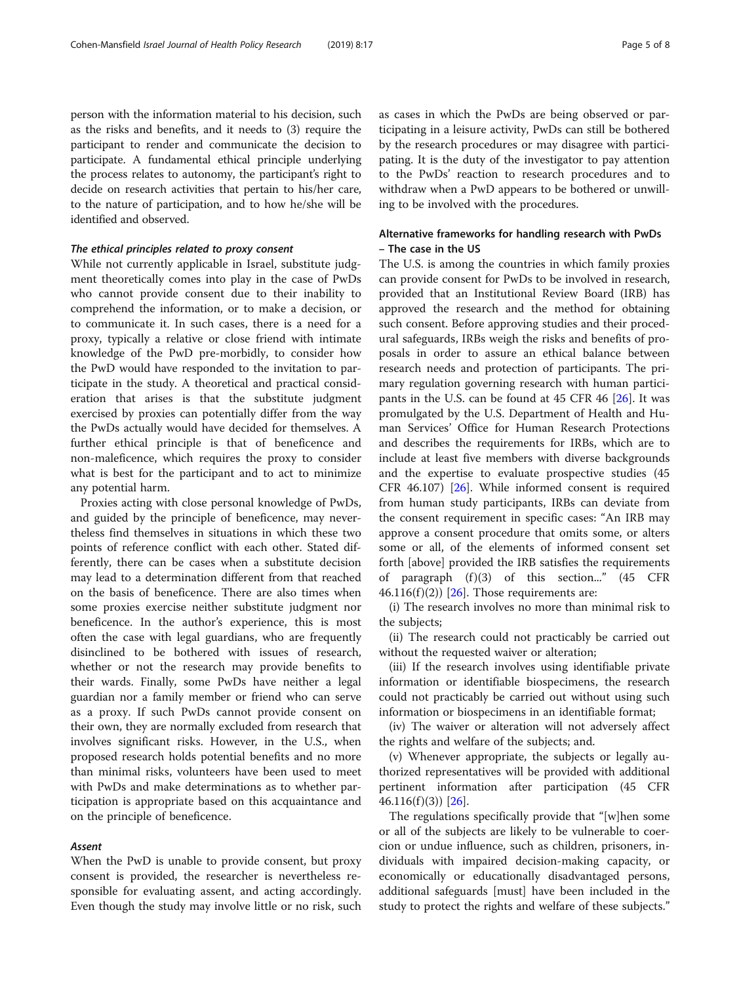person with the information material to his decision, such as the risks and benefits, and it needs to (3) require the participant to render and communicate the decision to participate. A fundamental ethical principle underlying the process relates to autonomy, the participant's right to decide on research activities that pertain to his/her care, to the nature of participation, and to how he/she will be identified and observed.

## The ethical principles related to proxy consent

While not currently applicable in Israel, substitute judgment theoretically comes into play in the case of PwDs who cannot provide consent due to their inability to comprehend the information, or to make a decision, or to communicate it. In such cases, there is a need for a proxy, typically a relative or close friend with intimate knowledge of the PwD pre-morbidly, to consider how the PwD would have responded to the invitation to participate in the study. A theoretical and practical consideration that arises is that the substitute judgment exercised by proxies can potentially differ from the way the PwDs actually would have decided for themselves. A further ethical principle is that of beneficence and non-maleficence, which requires the proxy to consider what is best for the participant and to act to minimize any potential harm.

Proxies acting with close personal knowledge of PwDs, and guided by the principle of beneficence, may nevertheless find themselves in situations in which these two points of reference conflict with each other. Stated differently, there can be cases when a substitute decision may lead to a determination different from that reached on the basis of beneficence. There are also times when some proxies exercise neither substitute judgment nor beneficence. In the author's experience, this is most often the case with legal guardians, who are frequently disinclined to be bothered with issues of research, whether or not the research may provide benefits to their wards. Finally, some PwDs have neither a legal guardian nor a family member or friend who can serve as a proxy. If such PwDs cannot provide consent on their own, they are normally excluded from research that involves significant risks. However, in the U.S., when proposed research holds potential benefits and no more than minimal risks, volunteers have been used to meet with PwDs and make determinations as to whether participation is appropriate based on this acquaintance and on the principle of beneficence.

### Assent

When the PwD is unable to provide consent, but proxy consent is provided, the researcher is nevertheless responsible for evaluating assent, and acting accordingly. Even though the study may involve little or no risk, such as cases in which the PwDs are being observed or participating in a leisure activity, PwDs can still be bothered by the research procedures or may disagree with participating. It is the duty of the investigator to pay attention to the PwDs' reaction to research procedures and to withdraw when a PwD appears to be bothered or unwilling to be involved with the procedures.

## Alternative frameworks for handling research with PwDs – The case in the US

The U.S. is among the countries in which family proxies can provide consent for PwDs to be involved in research, provided that an Institutional Review Board (IRB) has approved the research and the method for obtaining such consent. Before approving studies and their procedural safeguards, IRBs weigh the risks and benefits of proposals in order to assure an ethical balance between research needs and protection of participants. The primary regulation governing research with human participants in the U.S. can be found at  $45$  CFR  $46$   $[26]$  $[26]$ . It was promulgated by the U.S. Department of Health and Human Services' Office for Human Research Protections and describes the requirements for IRBs, which are to include at least five members with diverse backgrounds and the expertise to evaluate prospective studies (45 CFR 46.107) [\[26\]](#page-6-0). While informed consent is required from human study participants, IRBs can deviate from the consent requirement in specific cases: "An IRB may approve a consent procedure that omits some, or alters some or all, of the elements of informed consent set forth [above] provided the IRB satisfies the requirements of paragraph  $(f)(3)$  of this section..." (45 CFR 46.116(f)(2))  $[26]$ . Those requirements are:

(i) The research involves no more than minimal risk to the subjects;

(ii) The research could not practicably be carried out without the requested waiver or alteration;

(iii) If the research involves using identifiable private information or identifiable biospecimens, the research could not practicably be carried out without using such information or biospecimens in an identifiable format;

(iv) The waiver or alteration will not adversely affect the rights and welfare of the subjects; and.

(v) Whenever appropriate, the subjects or legally authorized representatives will be provided with additional pertinent information after participation (45 CFR  $46.116(f)(3)$  [\[26\]](#page-6-0).

The regulations specifically provide that "[w]hen some or all of the subjects are likely to be vulnerable to coercion or undue influence, such as children, prisoners, individuals with impaired decision-making capacity, or economically or educationally disadvantaged persons, additional safeguards [must] have been included in the study to protect the rights and welfare of these subjects."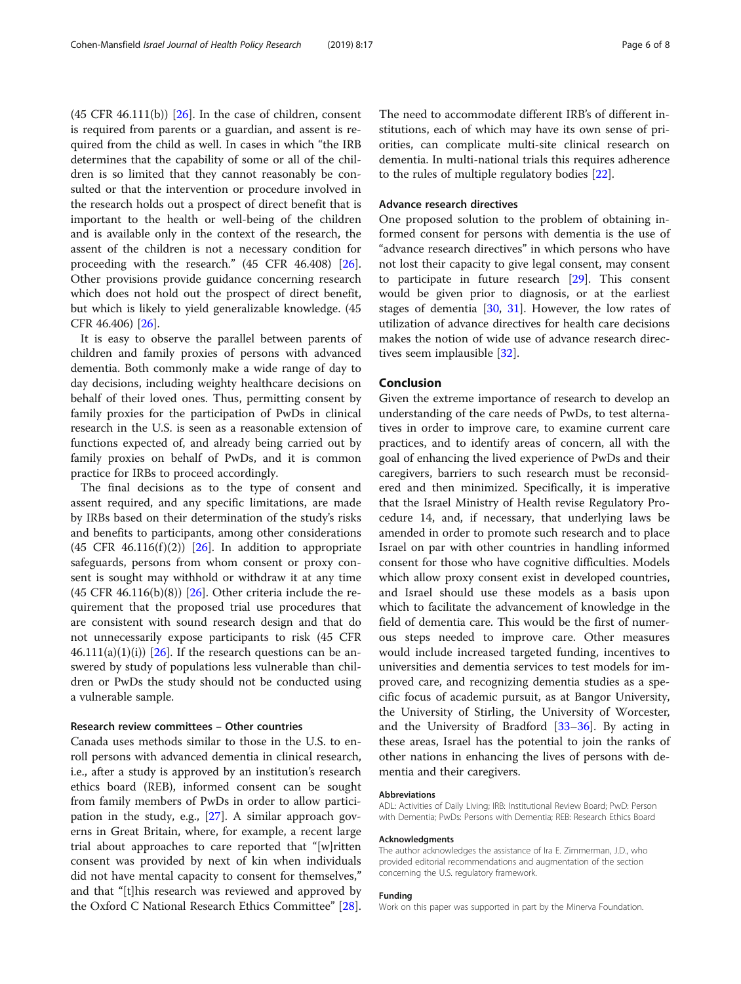(45 CFR 46.111(b))  $[26]$  $[26]$ . In the case of children, consent is required from parents or a guardian, and assent is required from the child as well. In cases in which "the IRB determines that the capability of some or all of the children is so limited that they cannot reasonably be consulted or that the intervention or procedure involved in the research holds out a prospect of direct benefit that is important to the health or well-being of the children and is available only in the context of the research, the assent of the children is not a necessary condition for proceeding with the research." (45 CFR 46.408) [\[26](#page-6-0)]. Other provisions provide guidance concerning research which does not hold out the prospect of direct benefit, but which is likely to yield generalizable knowledge. (45 CFR 46.406) [\[26](#page-6-0)].

It is easy to observe the parallel between parents of children and family proxies of persons with advanced dementia. Both commonly make a wide range of day to day decisions, including weighty healthcare decisions on behalf of their loved ones. Thus, permitting consent by family proxies for the participation of PwDs in clinical research in the U.S. is seen as a reasonable extension of functions expected of, and already being carried out by family proxies on behalf of PwDs, and it is common practice for IRBs to proceed accordingly.

The final decisions as to the type of consent and assent required, and any specific limitations, are made by IRBs based on their determination of the study's risks and benefits to participants, among other considerations (45 CFR 46.116(f)(2))  $[26]$  $[26]$ . In addition to appropriate safeguards, persons from whom consent or proxy consent is sought may withhold or withdraw it at any time (45 CFR 46.116(b)(8))  $[26]$  $[26]$  $[26]$ . Other criteria include the requirement that the proposed trial use procedures that are consistent with sound research design and that do not unnecessarily expose participants to risk (45 CFR  $46.111(a)(1)(i)$  [[26\]](#page-6-0). If the research questions can be answered by study of populations less vulnerable than children or PwDs the study should not be conducted using a vulnerable sample.

## Research review committees – Other countries

Canada uses methods similar to those in the U.S. to enroll persons with advanced dementia in clinical research, i.e., after a study is approved by an institution's research ethics board (REB), informed consent can be sought from family members of PwDs in order to allow participation in the study, e.g., [[27\]](#page-6-0). A similar approach governs in Great Britain, where, for example, a recent large trial about approaches to care reported that "[w]ritten consent was provided by next of kin when individuals did not have mental capacity to consent for themselves," and that "[t]his research was reviewed and approved by the Oxford C National Research Ethics Committee" [\[28](#page-6-0)].

The need to accommodate different IRB's of different institutions, each of which may have its own sense of priorities, can complicate multi-site clinical research on dementia. In multi-national trials this requires adherence to the rules of multiple regulatory bodies [[22\]](#page-6-0).

#### Advance research directives

One proposed solution to the problem of obtaining informed consent for persons with dementia is the use of "advance research directives" in which persons who have not lost their capacity to give legal consent, may consent to participate in future research [\[29\]](#page-6-0). This consent would be given prior to diagnosis, or at the earliest stages of dementia  $[30, 31]$  $[30, 31]$  $[30, 31]$ . However, the low rates of utilization of advance directives for health care decisions makes the notion of wide use of advance research directives seem implausible [[32](#page-6-0)].

#### Conclusion

Given the extreme importance of research to develop an understanding of the care needs of PwDs, to test alternatives in order to improve care, to examine current care practices, and to identify areas of concern, all with the goal of enhancing the lived experience of PwDs and their caregivers, barriers to such research must be reconsidered and then minimized. Specifically, it is imperative that the Israel Ministry of Health revise Regulatory Procedure 14, and, if necessary, that underlying laws be amended in order to promote such research and to place Israel on par with other countries in handling informed consent for those who have cognitive difficulties. Models which allow proxy consent exist in developed countries, and Israel should use these models as a basis upon which to facilitate the advancement of knowledge in the field of dementia care. This would be the first of numerous steps needed to improve care. Other measures would include increased targeted funding, incentives to universities and dementia services to test models for improved care, and recognizing dementia studies as a specific focus of academic pursuit, as at Bangor University, the University of Stirling, the University of Worcester, and the University of Bradford [[33](#page-6-0)–[36](#page-6-0)]. By acting in these areas, Israel has the potential to join the ranks of other nations in enhancing the lives of persons with dementia and their caregivers.

#### Abbreviations

ADL: Activities of Daily Living; IRB: Institutional Review Board; PwD: Person with Dementia; PwDs: Persons with Dementia; REB: Research Ethics Board

#### Acknowledgments

The author acknowledges the assistance of Ira E. Zimmerman, J.D., who provided editorial recommendations and augmentation of the section concerning the U.S. regulatory framework.

#### Funding

Work on this paper was supported in part by the Minerva Foundation.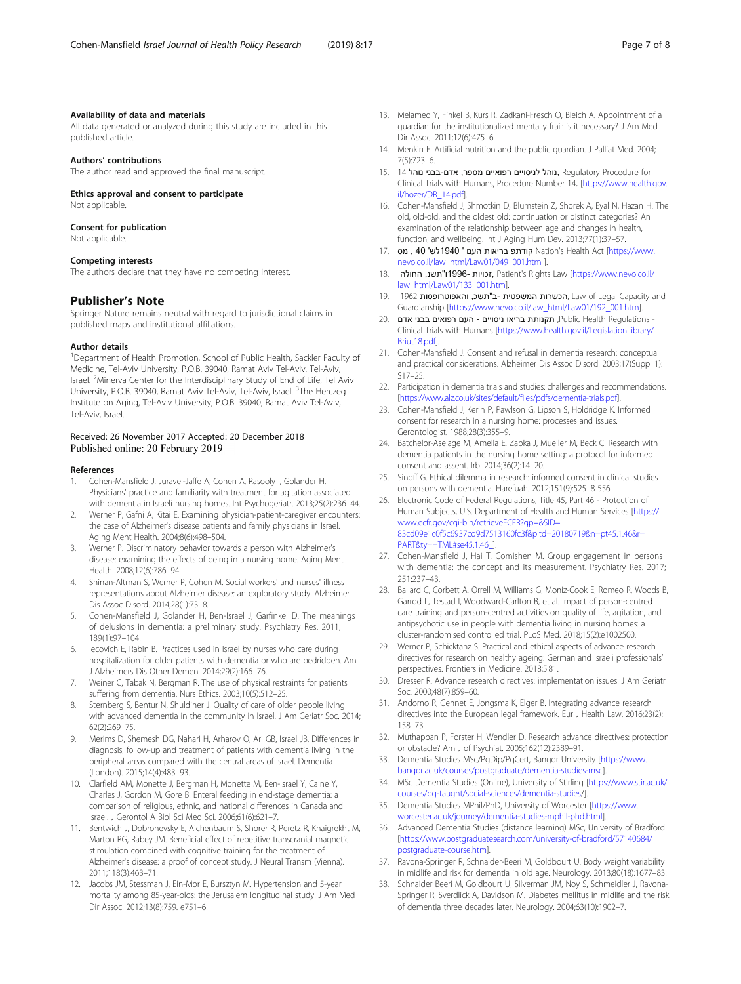#### <span id="page-6-0"></span>Availability of data and materials

All data generated or analyzed during this study are included in this published article.

#### Authors' contributions

The author read and approved the final manuscript.

#### Ethics approval and consent to participate

Not applicable.

#### Consent for publication

Not applicable.

#### Competing interests

The authors declare that they have no competing interest.

#### Publisher's Note

Springer Nature remains neutral with regard to jurisdictional claims in published maps and institutional affiliations.

#### Author details

<sup>1</sup>Department of Health Promotion, School of Public Health, Sackler Faculty of Medicine, Tel-Aviv University, P.O.B. 39040, Ramat Aviv Tel-Aviv, Tel-Aviv, Israel. <sup>2</sup>Minerva Center for the Interdisciplinary Study of End of Life, Tel Aviv University, P.O.B. 39040, Ramat Aviv Tel-Aviv, Tel-Aviv, Israel. <sup>3</sup>The Herczeg Institute on Aging, Tel-Aviv University, P.O.B. 39040, Ramat Aviv Tel-Aviv, Tel-Aviv, Israel.

#### Received: 26 November 2017 Accepted: 20 December 2018 Published online: 20 February 2019

#### References

- 1. Cohen-Mansfield J, Juravel-Jaffe A, Cohen A, Rasooly I, Golander H. Physicians' practice and familiarity with treatment for agitation associated with dementia in Israeli nursing homes. Int Psychogeriatr. 2013;25(2):236–44.
- 2. Werner P, Gafni A, Kitai E. Examining physician-patient-caregiver encounters: the case of Alzheimer's disease patients and family physicians in Israel. Aging Ment Health. 2004;8(6):498–504.
- Werner P. Discriminatory behavior towards a person with Alzheimer's disease: examining the effects of being in a nursing home. Aging Ment Health. 2008;12(6):786–94.
- 4. Shinan-Altman S, Werner P, Cohen M. Social workers' and nurses' illness representations about Alzheimer disease: an exploratory study. Alzheimer Dis Assoc Disord. 2014;28(1):73–8.
- 5. Cohen-Mansfield J, Golander H, Ben-Israel J, Garfinkel D. The meanings of delusions in dementia: a preliminary study. Psychiatry Res. 2011; 189(1):97–104.
- lecovich E, Rabin B. Practices used in Israel by nurses who care during hospitalization for older patients with dementia or who are bedridden. Am J Alzheimers Dis Other Demen. 2014;29(2):166–76.
- 7. Weiner C, Tabak N, Bergman R. The use of physical restraints for patients suffering from dementia. Nurs Ethics. 2003;10(5):512–25.
- Sternberg S, Bentur N, Shuldiner J. Quality of care of older people living with advanced dementia in the community in Israel. J Am Geriatr Soc. 2014; 62(2):269–75.
- Merims D, Shemesh DG, Nahari H, Arharov O, Ari GB, Israel JB. Differences in diagnosis, follow-up and treatment of patients with dementia living in the peripheral areas compared with the central areas of Israel. Dementia (London). 2015;14(4):483–93.
- 10. Clarfield AM, Monette J, Bergman H, Monette M, Ben-Israel Y, Caine Y, Charles J, Gordon M, Gore B. Enteral feeding in end-stage dementia: a comparison of religious, ethnic, and national differences in Canada and Israel. J Gerontol A Biol Sci Med Sci. 2006;61(6):621–7.
- 11. Bentwich J, Dobronevsky E, Aichenbaum S, Shorer R, Peretz R, Khaigrekht M, Marton RG, Rabey JM. Beneficial effect of repetitive transcranial magnetic stimulation combined with cognitive training for the treatment of Alzheimer's disease: a proof of concept study. J Neural Transm (Vienna). 2011;118(3):463–71.
- 12. Jacobs JM, Stessman J, Ein-Mor E, Bursztyn M. Hypertension and 5-year mortality among 85-year-olds: the Jerusalem longitudinal study. J Am Med Dir Assoc. 2012;13(8):759. e751–6.
- 13. Melamed Y, Finkel B, Kurs R, Zadkani-Fresch O, Bleich A. Appointment of a guardian for the institutionalized mentally frail: is it necessary? J Am Med Dir Assoc. 2011;12(6):475–6.
- 14. Menkin E. Artificial nutrition and the public guardian. J Palliat Med. 2004; 7(5):723–6.
- for Procedure Regulatory ,נוהל לניסויים רפואיים מספר, אדם-בבני נוהל 14 15. Clinical Trials with Humans, Procedure Number 14. [[https://www.health.gov.](https://www.health.gov.il/hozer/DR_14.pdf) [il/hozer/DR\\_14.pdf\]](https://www.health.gov.il/hozer/DR_14.pdf).
- 16. Cohen-Mansfield J, Shmotkin D, Blumstein Z, Shorek A, Eyal N, Hazan H. The old, old-old, and the oldest old: continuation or distinct categories? An examination of the relationship between age and changes in health, function, and wellbeing. Int J Aging Hum Dev. 2013;77(1):37–57.
- 17. **on , 40' לש<sup>י</sup>1940' הודתפ בריאות העם Nation's Health Act [\[https://www.](https://www.nevo.co.il/law_html/Law01/049_001.htm)** [nevo.co.il/law\\_html/Law01/049\\_001.htm](https://www.nevo.co.il/law_html/Law01/049_001.htm) ].
- 18. הכויות -1996 ו"תשנ, החולה, Patient's Rights Law [\[https://www.nevo.co.il/](https://www.nevo.co.il/law_html/Law01/133_001.htm) [law\\_html/Law01/133\\_001.htm](https://www.nevo.co.il/law_html/Law01/133_001.htm)].
- הכשרות המשפטית -ב"תשכ, והאפוטרופסות 1962 19. law of Legal Capacity and Guardianship [\[https://www.nevo.co.il/law\\_html/Law01/192\\_001.htm\]](https://www.nevo.co.il/law_html/Law01/192_001.htm).
- Regulations Health Public, תקנותת בריאו ניסויים העם רפואים בבני אדם 20. Clinical Trials with Humans [\[https://www.health.gov.il/LegislationLibrary/](https://www.health.gov.il/LegislationLibrary/Briut18.pdf) [Briut18.pdf](https://www.health.gov.il/LegislationLibrary/Briut18.pdf)].
- 21. Cohen-Mansfield J. Consent and refusal in dementia research: conceptual and practical considerations. Alzheimer Dis Assoc Disord. 2003;17(Suppl 1): S17–25.
- 22. Participation in dementia trials and studies: challenges and recommendations. [<https://www.alz.co.uk/sites/default/files/pdfs/dementia-trials.pdf>].
- 23. Cohen-Mansfield J, Kerin P, Pawlson G, Lipson S, Holdridge K, Informed consent for research in a nursing home: processes and issues. Gerontologist. 1988;28(3):355–9.
- 24. Batchelor-Aselage M, Amella E, Zapka J, Mueller M, Beck C. Research with dementia patients in the nursing home setting: a protocol for informed consent and assent. Irb. 2014;36(2):14–20.
- 25. Sinoff G. Ethical dilemma in research: informed consent in clinical studies on persons with dementia. Harefuah. 2012;151(9):525–8 556.
- 26. Electronic Code of Federal Regulations, Title 45, Part 46 Protection of Human Subjects, U.S. Department of Health and Human Services [\[https://](https://www.ecfr.gov/cgi-bin/retrieveECFR?gp=&SID=83cd09e1c0f5c6937cd9d7513160fc3f&pitd=20180719&n=pt45.1.46&r=PART&ty=HTML#se45.1.46_) [www.ecfr.gov/cgi-bin/retrieveECFR?gp=&SID=](https://www.ecfr.gov/cgi-bin/retrieveECFR?gp=&SID=83cd09e1c0f5c6937cd9d7513160fc3f&pitd=20180719&n=pt45.1.46&r=PART&ty=HTML#se45.1.46_) [83cd09e1c0f5c6937cd9d7513160fc3f&pitd=20180719&n=pt45.1.46&r=](https://www.ecfr.gov/cgi-bin/retrieveECFR?gp=&SID=83cd09e1c0f5c6937cd9d7513160fc3f&pitd=20180719&n=pt45.1.46&r=PART&ty=HTML#se45.1.46_) PART&tv=HTML#se45.1.46 1.
- 27. Cohen-Mansfield J, Hai T, Comishen M. Group engagement in persons with dementia: the concept and its measurement. Psychiatry Res. 2017; 251:237–43.
- 28. Ballard C, Corbett A, Orrell M, Williams G, Moniz-Cook E, Romeo R, Woods B, Garrod L, Testad I, Woodward-Carlton B, et al. Impact of person-centred care training and person-centred activities on quality of life, agitation, and antipsychotic use in people with dementia living in nursing homes: a cluster-randomised controlled trial. PLoS Med. 2018;15(2):e1002500.
- 29. Werner P, Schicktanz S. Practical and ethical aspects of advance research directives for research on healthy ageing: German and Israeli professionals' perspectives. Frontiers in Medicine. 2018;5:81.
- 30. Dresser R. Advance research directives: implementation issues. J Am Geriatr Soc. 2000;48(7):859–60.
- 31. Andorno R, Gennet E, Jongsma K, Elger B. Integrating advance research directives into the European legal framework. Eur J Health Law. 2016;23(2): 158–73.
- 32. Muthappan P, Forster H, Wendler D. Research advance directives: protection or obstacle? Am J of Psychiat. 2005;162(12):2389–91.
- 33. Dementia Studies MSc/PgDip/PgCert, Bangor University [[https://www.](https://www.bangor.ac.uk/courses/postgraduate/dementia-studies-msc) [bangor.ac.uk/courses/postgraduate/dementia-studies-msc\]](https://www.bangor.ac.uk/courses/postgraduate/dementia-studies-msc).
- 34. MSc Dementia Studies (Online), University of Stirling [\[https://www.stir.ac.uk/](https://www.stir.ac.uk/courses/pg-taught/social-sciences/dementia-studies) [courses/pg-taught/social-sciences/dementia-studies](https://www.stir.ac.uk/courses/pg-taught/social-sciences/dementia-studies)/].
- 35. Dementia Studies MPhil/PhD, University of Worcester [[https://www.](https://www.worcester.ac.uk/journey/dementia-studies-mphil-phd.html) [worcester.ac.uk/journey/dementia-studies-mphil-phd.html](https://www.worcester.ac.uk/journey/dementia-studies-mphil-phd.html)].
- 36. Advanced Dementia Studies (distance learning) MSc, University of Bradford [[https://www.postgraduatesearch.com/university-of-bradford/57140684/](https://www.postgraduatesearch.com/university-of-bradford/57140684/postgraduate-course.htm) [postgraduate-course.htm](https://www.postgraduatesearch.com/university-of-bradford/57140684/postgraduate-course.htm)].
- 37. Ravona-Springer R, Schnaider-Beeri M, Goldbourt U. Body weight variability in midlife and risk for dementia in old age. Neurology. 2013;80(18):1677–83.
- 38. Schnaider Beeri M, Goldbourt U, Silverman JM, Noy S, Schmeidler J, Ravona-Springer R, Sverdlick A, Davidson M. Diabetes mellitus in midlife and the risk of dementia three decades later. Neurology. 2004;63(10):1902–7.